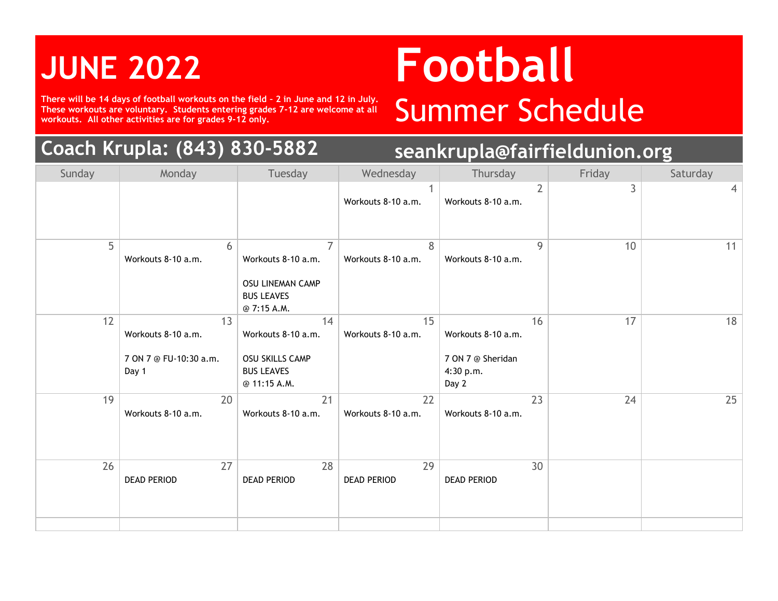**There will be 14 days of football workouts on the field – 2 in June and 12 in July. These workouts are voluntary. Students entering grades 7-12 are welcome at all**  There will be 14 days of football workouts on the field - 2 in June and 12 in July.<br>These workouts are voluntary. Students entering grades 7-12 are welcome at all **SUMMEF SChedule** 

### **Coach Krupla: (843) 830-5882 seankrupla@fairfieldunion.org**

### **JUNE <sup>2022</sup> Football**

| Sunday | Monday                                                      | Tuesday                                                                                             | Wednesday                | Thursday                                                            | Friday | Saturday |
|--------|-------------------------------------------------------------|-----------------------------------------------------------------------------------------------------|--------------------------|---------------------------------------------------------------------|--------|----------|
|        |                                                             |                                                                                                     | 1<br>Workouts 8-10 a.m.  | $\overline{2}$<br>Workouts 8-10 a.m.                                | 3      | 4        |
| 5      | 6<br>Workouts 8-10 a.m.                                     | $\overline{7}$<br>Workouts 8-10 a.m.<br><b>OSU LINEMAN CAMP</b><br><b>BUS LEAVES</b><br>@ 7:15 A.M. | 8<br>Workouts 8-10 a.m.  | 9<br>Workouts 8-10 a.m.                                             | 10     | 11       |
| 12     | 13<br>Workouts 8-10 a.m.<br>7 ON 7 @ FU-10:30 a.m.<br>Day 1 | 14<br>Workouts 8-10 a.m.<br>OSU SKILLS CAMP<br><b>BUS LEAVES</b><br>@ 11:15 A.M.                    | 15<br>Workouts 8-10 a.m. | 16<br>Workouts 8-10 a.m.<br>7 ON 7 @ Sheridan<br>4:30 p.m.<br>Day 2 | 17     | 18       |
| 19     | 20<br>Workouts 8-10 a.m.                                    | 21<br>Workouts 8-10 a.m.                                                                            | 22<br>Workouts 8-10 a.m. | 23<br>Workouts 8-10 a.m.                                            | 24     | 25       |
| 26     | 27<br><b>DEAD PERIOD</b>                                    | 28<br><b>DEAD PERIOD</b>                                                                            | 29<br><b>DEAD PERIOD</b> | 30<br><b>DEAD PERIOD</b>                                            |        |          |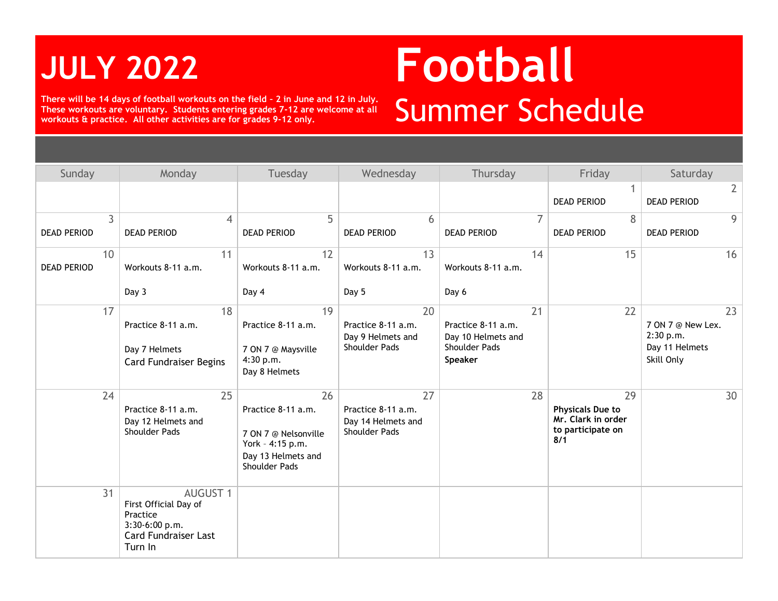**There will be 14 days of football workouts on the field – 2 in June and 12 in July. These workouts are voluntary. Students entering grades 7-12 are welcome at all**  There will be 14 days of football workouts on the field - 2 in June and 12 in July.<br>These workouts are voluntary. Students entering grades 7-12 are welcome at all<br>workouts & practice. All other activities are for grades 9-

# **JULY <sup>2022</sup> Football**

| Sunday                               | Monday                                                                                                           | Tuesday                                                                                                     | Wednesday                                                              | Thursday                                                                   | Friday                                                                          | Saturday                                                             |
|--------------------------------------|------------------------------------------------------------------------------------------------------------------|-------------------------------------------------------------------------------------------------------------|------------------------------------------------------------------------|----------------------------------------------------------------------------|---------------------------------------------------------------------------------|----------------------------------------------------------------------|
|                                      |                                                                                                                  |                                                                                                             |                                                                        |                                                                            | <b>DEAD PERIOD</b>                                                              | $2^{\circ}$<br><b>DEAD PERIOD</b>                                    |
| $\overline{3}$<br><b>DEAD PERIOD</b> | $\overline{4}$<br><b>DEAD PERIOD</b>                                                                             | 5<br><b>DEAD PERIOD</b>                                                                                     | 6<br><b>DEAD PERIOD</b>                                                | 7<br><b>DEAD PERIOD</b>                                                    | 8<br><b>DEAD PERIOD</b>                                                         | 9<br><b>DEAD PERIOD</b>                                              |
| 10<br><b>DEAD PERIOD</b>             | 11<br>Workouts 8-11 a.m.<br>Day 3                                                                                | 12<br>Workouts 8-11 a.m.<br>Day 4                                                                           | 13<br>Workouts 8-11 a.m.<br>Day 5                                      | 14<br>Workouts 8-11 a.m.<br>Day 6                                          | 15                                                                              | 16                                                                   |
| 17                                   | 18<br>Practice 8-11 a.m.<br>Day 7 Helmets<br><b>Card Fundraiser Begins</b>                                       | 19<br>Practice 8-11 a.m.<br>7 ON 7 @ Maysville<br>4:30 p.m.<br>Day 8 Helmets                                | 20<br>Practice 8-11 a.m.<br>Day 9 Helmets and<br><b>Shoulder Pads</b>  | 21<br>Practice 8-11 a.m.<br>Day 10 Helmets and<br>Shoulder Pads<br>Speaker | 22                                                                              | 23<br>7 ON 7 @ New Lex.<br>2:30 p.m.<br>Day 11 Helmets<br>Skill Only |
| 24                                   | 25<br>Practice 8-11 a.m.<br>Day 12 Helmets and<br>Shoulder Pads                                                  | 26<br>Practice 8-11 a.m.<br>7 ON 7 @ Nelsonville<br>York - 4:15 p.m.<br>Day 13 Helmets and<br>Shoulder Pads | 27<br>Practice 8-11 a.m.<br>Day 14 Helmets and<br><b>Shoulder Pads</b> | 28                                                                         | 29<br><b>Physicals Due to</b><br>Mr. Clark in order<br>to participate on<br>8/1 | 30                                                                   |
| 31                                   | <b>AUGUST 1</b><br>First Official Day of<br>Practice<br>3:30-6:00 p.m.<br><b>Card Fundraiser Last</b><br>Turn In |                                                                                                             |                                                                        |                                                                            |                                                                                 |                                                                      |